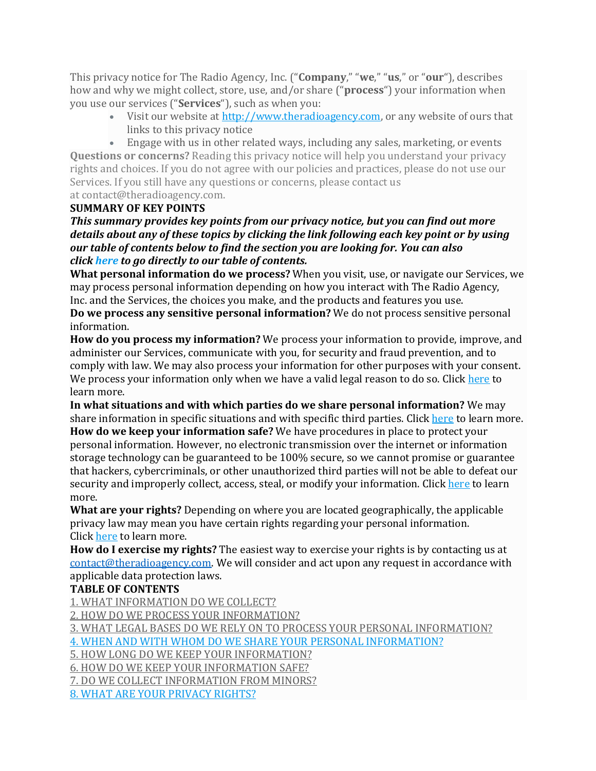This privacy notice for The Radio Agency, Inc. ("**Company**," "**we**," "**us**," or "**our**"), describes how and why we might collect, store, use, and/or share ("**process**") your information when you use our services ("**Services**"), such as when you:

• Visit our website at [http://www.theradioagency.com,](http://www.theradioagency.com/) or any website of ours that links to this privacy notice

• Engage with us in other related ways, including any sales, marketing, or events **Questions or concerns?** Reading this privacy notice will help you understand your privacy rights and choices. If you do not agree with our policies and practices, please do not use our Services. If you still have any questions or concerns, please contact us at contact@theradioagency.com.

#### **SUMMARY OF KEY POINTS**

*This summary provides key points from our privacy notice, but you can find out more details about any of these topics by clicking the link following each key point or by using our table of contents below to find the section you are looking for. You can also click [here](https://www.radiodirect.com/privacy-policy/#toc) to go directly to our table of contents.*

**What personal information do we process?** When you visit, use, or navigate our Services, we may process personal information depending on how you interact with The Radio Agency, Inc. and the Services, the choices you make, and the products and features you use.

**Do we process any sensitive personal information?** We do not process sensitive personal information.

**How do you process my information?** We process your information to provide, improve, and administer our Services, communicate with you, for security and fraud prevention, and to comply with law. We may also process your information for other purposes with your consent. We process your information only when we have a valid legal reason to do so. Click [here](https://www.radiodirect.com/privacy-policy/#infouse) to learn more.

**In what situations and with which parties do we share personal information?** We may share information in specific situations and with specific third parties. Click [here](https://www.radiodirect.com/privacy-policy/#whoshare) to learn more. **How do we keep your information safe?** We have procedures in place to protect your personal information. However, no electronic transmission over the internet or information storage technology can be guaranteed to be 100% secure, so we cannot promise or guarantee that hackers, cybercriminals, or other unauthorized third parties will not be able to defeat our security and improperly collect, access, steal, or modify your information. Click [here](https://www.radiodirect.com/privacy-policy/#infosafe) to learn more.

**What are your rights?** Depending on where you are located geographically, the applicable privacy law may mean you have certain rights regarding your personal information. Click [here](https://www.radiodirect.com/privacy-policy/#privacyrights) to learn more.

**How do I exercise my rights?** The easiest way to exercise your rights is by contacting us at [contact@theradioagency.com.](mailto:contact@theradioagency.com) We will consider and act upon any request in accordance with applicable data protection laws.

# **TABLE OF CONTENTS**

1. WHAT [INFORMATION](https://www.radiodirect.com/privacy-policy/#infocollect) DO WE COLLECT?

2. HOW DO WE PROCESS YOUR [INFORMATION?](https://www.radiodirect.com/privacy-policy/#infouse)

3. WHAT LEGAL BASES DO WE RELY ON TO PROCESS YOUR PERSONAL [INFORMATION?](https://www.radiodirect.com/privacy-policy/#legalbases)

4. WHEN AND WITH WHOM DO WE SHARE YOUR PERSONAL [INFORMATION?](https://www.radiodirect.com/privacy-policy/#whoshare)

5. HOW LONG DO WE KEEP YOUR [INFORMATION?](https://www.radiodirect.com/privacy-policy/#inforetain)

6. HOW DO WE KEEP YOUR [INFORMATION](https://www.radiodirect.com/privacy-policy/#infosafe) SAFE?

7. DO WE COLLECT [INFORMATION](https://www.radiodirect.com/privacy-policy/#infominors) FROM MINORS?

8. WHAT ARE YOUR [PRIVACY](https://www.radiodirect.com/privacy-policy/#privacyrights) RIGHTS?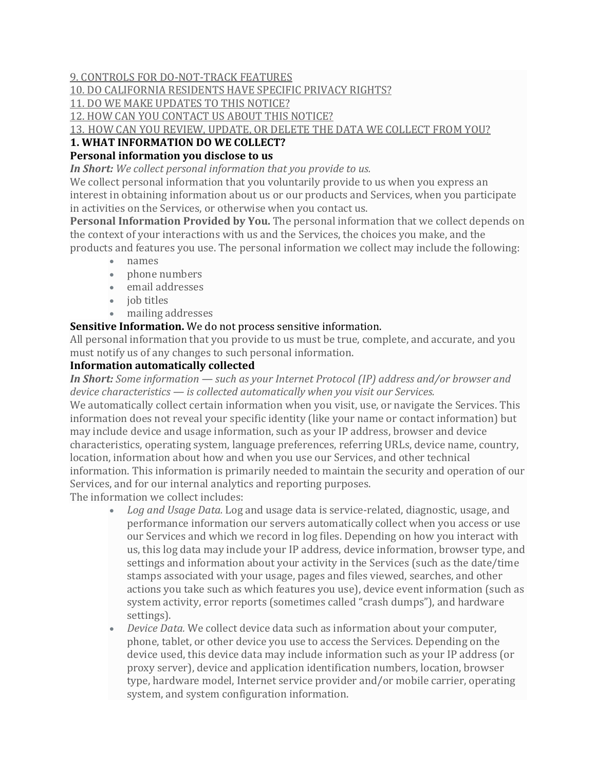### 9. CONTROLS FOR [DO-NOT-TRACK](https://www.radiodirect.com/privacy-policy/#DNT) FEATURES

### 10. DO [CALIFORNIA](https://www.radiodirect.com/privacy-policy/#caresidents) RESIDENTS HAVE SPECIFIC PRIVACY RIGHTS?

11. DO WE MAKE [UPDATES](https://www.radiodirect.com/privacy-policy/#policyupdates) TO THIS NOTICE?

12. HOW CAN YOU [CONTACT](https://www.radiodirect.com/privacy-policy/#contact) US ABOUT THIS NOTICE?

13. HOW CAN YOU REVIEW, UPDATE, OR DELETE THE DATA WE [COLLECT](https://www.radiodirect.com/privacy-policy/#request) FROM YOU?

# **1. WHAT INFORMATION DO WE COLLECT?**

# **Personal information you disclose to us**

*In Short: We collect personal information that you provide to us.*

We collect personal information that you voluntarily provide to us when you express an interest in obtaining information about us or our products and Services, when you participate in activities on the Services, or otherwise when you contact us.

**Personal Information Provided by You.** The personal information that we collect depends on the context of your interactions with us and the Services, the choices you make, and the products and features you use. The personal information we collect may include the following:

- names
- phone numbers
- email addresses
- *job* titles
- mailing addresses

#### **Sensitive Information.** We do not process sensitive information.

All personal information that you provide to us must be true, complete, and accurate, and you must notify us of any changes to such personal information.

#### **Information automatically collected**

*In Short: Some information — such as your Internet Protocol (IP) address and/or browser and device characteristics — is collected automatically when you visit our Services.* We automatically collect certain information when you visit, use, or navigate the Services. This information does not reveal your specific identity (like your name or contact information) but may include device and usage information, such as your IP address, browser and device characteristics, operating system, language preferences, referring URLs, device name, country, location, information about how and when you use our Services, and other technical information. This information is primarily needed to maintain the security and operation of our Services, and for our internal analytics and reporting purposes.

The information we collect includes:

- *Log and Usage Data.* Log and usage data is service-related, diagnostic, usage, and performance information our servers automatically collect when you access or use our Services and which we record in log files. Depending on how you interact with us, this log data may include your IP address, device information, browser type, and settings and information about your activity in the Services (such as the date/time stamps associated with your usage, pages and files viewed, searches, and other actions you take such as which features you use), device event information (such as system activity, error reports (sometimes called "crash dumps"), and hardware settings).
- *Device Data.* We collect device data such as information about your computer, phone, tablet, or other device you use to access the Services. Depending on the device used, this device data may include information such as your IP address (or proxy server), device and application identification numbers, location, browser type, hardware model, Internet service provider and/or mobile carrier, operating system, and system configuration information.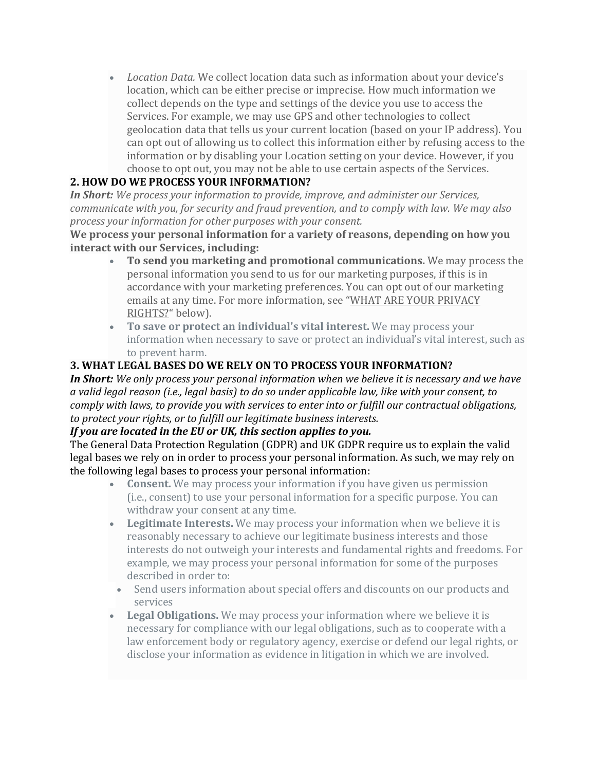• *Location Data.* We collect location data such as information about your device's location, which can be either precise or imprecise. How much information we collect depends on the type and settings of the device you use to access the Services. For example, we may use GPS and other technologies to collect geolocation data that tells us your current location (based on your IP address). You can opt out of allowing us to collect this information either by refusing access to the information or by disabling your Location setting on your device. However, if you choose to opt out, you may not be able to use certain aspects of the Services.

# **2. HOW DO WE PROCESS YOUR INFORMATION?**

*In Short: We process your information to provide, improve, and administer our Services, communicate with you, for security and fraud prevention, and to comply with law. We may also process your information for other purposes with your consent.*

**We process your personal information for a variety of reasons, depending on how you interact with our Services, including:**

- **To send you marketing and promotional communications.** We may process the personal information you send to us for our marketing purposes, if this is in accordance with your marketing preferences. You can opt out of our marketing emails at any time. For more information, see "WHAT ARE YOUR [PRIVACY](https://www.radiodirect.com/privacy-policy/#privacyrights) [RIGHTS?](https://www.radiodirect.com/privacy-policy/#privacyrights)" below).
- **To save or protect an individual's vital interest.** We may process your information when necessary to save or protect an individual's vital interest, such as to prevent harm.

# **3. WHAT LEGAL BASES DO WE RELY ON TO PROCESS YOUR INFORMATION?**

*In Short: We only process your personal information when we believe it is necessary and we have a valid legal reason (i.e., legal basis) to do so under applicable law, like with your consent, to comply with laws, to provide you with services to enter into or fulfill our contractual obligations, to protect your rights, or to fulfill our legitimate business interests.*

#### *If you are located in the EU or UK, this section applies to you.*

The General Data Protection Regulation (GDPR) and UK GDPR require us to explain the valid legal bases we rely on in order to process your personal information. As such, we may rely on the following legal bases to process your personal information:

- **Consent.** We may process your information if you have given us permission (i.e., consent) to use your personal information for a specific purpose. You can withdraw your consent at any time.
- **Legitimate Interests.** We may process your information when we believe it is reasonably necessary to achieve our legitimate business interests and those interests do not outweigh your interests and fundamental rights and freedoms. For example, we may process your personal information for some of the purposes described in order to:
- Send users information about special offers and discounts on our products and services
- **Legal Obligations.** We may process your information where we believe it is necessary for compliance with our legal obligations, such as to cooperate with a law enforcement body or regulatory agency, exercise or defend our legal rights, or disclose your information as evidence in litigation in which we are involved.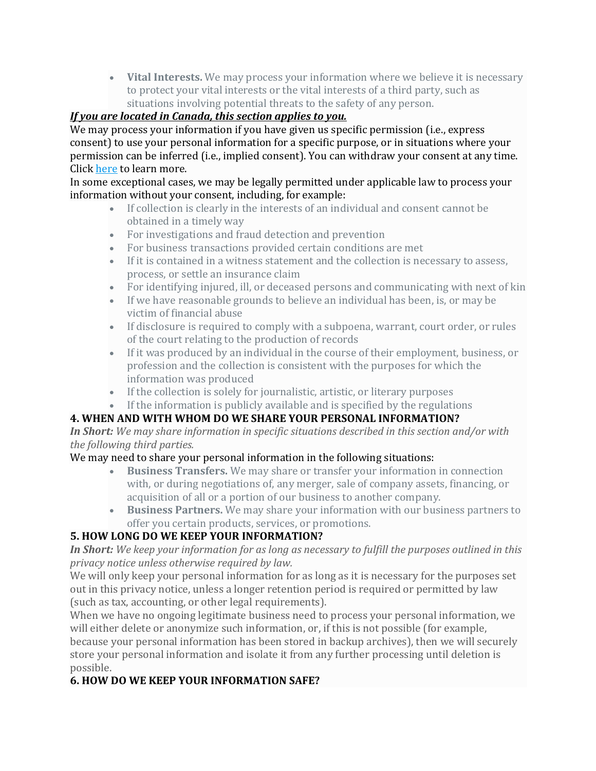• **Vital Interests.** We may process your information where we believe it is necessary to protect your vital interests or the vital interests of a third party, such as situations involving potential threats to the safety of any person.

### *If you are located in Canada, this section applies to you.*

We may process your information if you have given us specific permission (i.e., express consent) to use your personal information for a specific purpose, or in situations where your permission can be inferred (i.e., implied consent). You can withdraw your consent at any time. Click [here](https://www.radiodirect.com/privacy-policy/#withdrawconsent) to learn more.

In some exceptional cases, we may be legally permitted under applicable law to process your information without your consent, including, for example:

- If collection is clearly in the interests of an individual and consent cannot be obtained in a timely way
- For investigations and fraud detection and prevention
- For business transactions provided certain conditions are met
- If it is contained in a witness statement and the collection is necessary to assess, process, or settle an insurance claim
- For identifying injured, ill, or deceased persons and communicating with next of kin
- If we have reasonable grounds to believe an individual has been, is, or may be victim of financial abuse
- If disclosure is required to comply with a subpoena, warrant, court order, or rules of the court relating to the production of records
- If it was produced by an individual in the course of their employment, business, or profession and the collection is consistent with the purposes for which the information was produced
- If the collection is solely for journalistic, artistic, or literary purposes
- If the information is publicly available and is specified by the regulations

# **4. WHEN AND WITH WHOM DO WE SHARE YOUR PERSONAL INFORMATION?**

*In Short: We may share information in specific situations described in this section and/or with the following third parties.*

# We may need to share your personal information in the following situations:

- **Business Transfers.** We may share or transfer your information in connection with, or during negotiations of, any merger, sale of company assets, financing, or acquisition of all or a portion of our business to another company.
- **Business Partners.** We may share your information with our business partners to offer you certain products, services, or promotions.

# **5. HOW LONG DO WE KEEP YOUR INFORMATION?**

In Short: We keep your information for as long as necessary to fulfill the purposes outlined in this *privacy notice unless otherwise required by law.*

We will only keep your personal information for as long as it is necessary for the purposes set out in this privacy notice, unless a longer retention period is required or permitted by law (such as tax, accounting, or other legal requirements).

When we have no ongoing legitimate business need to process your personal information, we will either delete or anonymize such information, or, if this is not possible (for example, because your personal information has been stored in backup archives), then we will securely store your personal information and isolate it from any further processing until deletion is possible.

# **6. HOW DO WE KEEP YOUR INFORMATION SAFE?**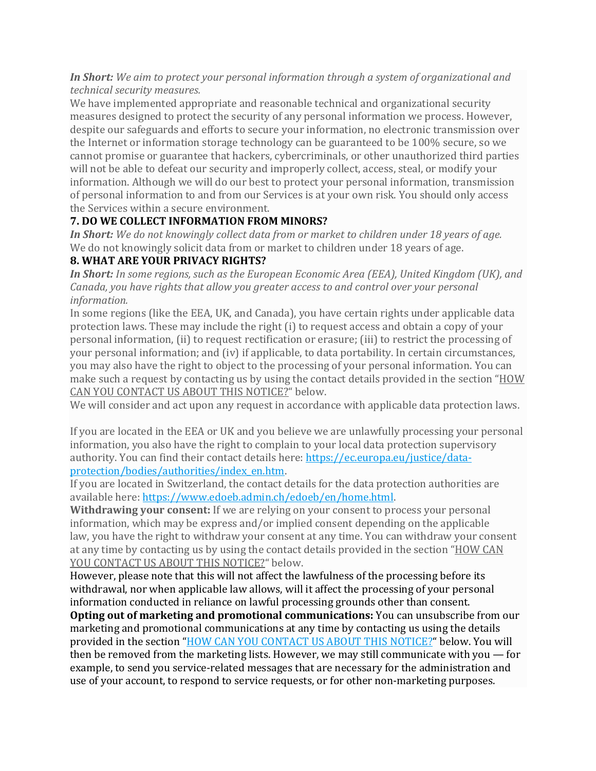#### *In Short: We aim to protect your personal information through a system of organizational and technical security measures.*

We have implemented appropriate and reasonable technical and organizational security measures designed to protect the security of any personal information we process. However, despite our safeguards and efforts to secure your information, no electronic transmission over the Internet or information storage technology can be guaranteed to be 100% secure, so we cannot promise or guarantee that hackers, cybercriminals, or other unauthorized third parties will not be able to defeat our security and improperly collect, access, steal, or modify your information. Although we will do our best to protect your personal information, transmission of personal information to and from our Services is at your own risk. You should only access the Services within a secure environment.

### **7. DO WE COLLECT INFORMATION FROM MINORS?**

*In Short: We do not knowingly collect data from or market to children under 18 years of age.* We do not knowingly solicit data from or market to children under 18 years of age.

# **8. WHAT ARE YOUR PRIVACY RIGHTS?**

*In Short: In some regions, such as the European Economic Area (EEA), United Kingdom (UK), and Canada, you have rights that allow you greater access to and control over your personal information.*

In some regions (like the EEA, UK, and Canada), you have certain rights under applicable data protection laws. These may include the right (i) to request access and obtain a copy of your personal information, (ii) to request rectification or erasure; (iii) to restrict the processing of your personal information; and (iv) if applicable, to data portability. In certain circumstances, you may also have the right to object to the processing of your personal information. You can make such a request by contacting us by using the contact details provided in the section "[HOW](https://www.radiodirect.com/privacy-policy/#contact) CAN YOU [CONTACT](https://www.radiodirect.com/privacy-policy/#contact) US ABOUT THIS NOTICE?" below.

We will consider and act upon any request in accordance with applicable data protection laws.

If you are located in the EEA or UK and you believe we are unlawfully processing your personal information, you also have the right to complain to your local data protection supervisory authority. You can find their contact details here: [https://ec.europa.eu/justice/data](https://ec.europa.eu/justice/data-protection/bodies/authorities/index_en.htm)[protection/bodies/authorities/index\\_en.htm.](https://ec.europa.eu/justice/data-protection/bodies/authorities/index_en.htm)

If you are located in Switzerland, the contact details for the data protection authorities are available here: [https://www.edoeb.admin.ch/edoeb/en/home.html.](https://www.edoeb.admin.ch/edoeb/en/home.html)

**Withdrawing your consent:** If we are relying on your consent to process your personal information, which may be express and/or implied consent depending on the applicable law, you have the right to withdraw your consent at any time. You can withdraw your consent at any time by contacting us by using the contact details provided in the section "[HOW](https://www.radiodirect.com/privacy-policy/#contact) CAN YOU [CONTACT](https://www.radiodirect.com/privacy-policy/#contact) US ABOUT THIS NOTICE?" below.

However, please note that this will not affect the lawfulness of the processing before its withdrawal, nor when applicable law allows, will it affect the processing of your personal information conducted in reliance on lawful processing grounds other than consent.

**Opting out of marketing and promotional communications:** You can unsubscribe from our marketing and promotional communications at any time by contacting us using the details provided in the section "HOW CAN YOU [CONTACT](https://www.radiodirect.com/privacy-policy/#contact) US ABOUT THIS NOTICE?" below. You will then be removed from the marketing lists. However, we may still communicate with you — for example, to send you service-related messages that are necessary for the administration and use of your account, to respond to service requests, or for other non-marketing purposes.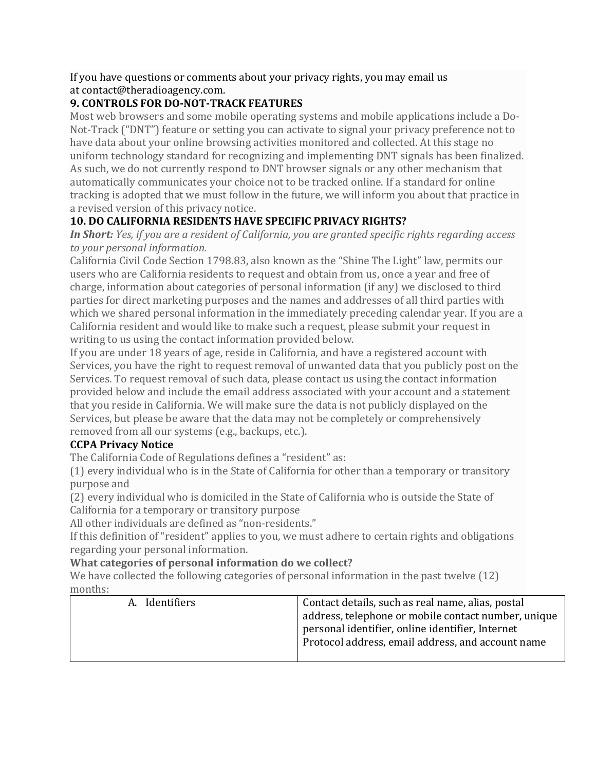If you have questions or comments about your privacy rights, you may email us at contact@theradioagency.com.

### **9. CONTROLS FOR DO-NOT-TRACK FEATURES**

Most web browsers and some mobile operating systems and mobile applications include a Do-Not-Track ("DNT") feature or setting you can activate to signal your privacy preference not to have data about your online browsing activities monitored and collected. At this stage no uniform technology standard for recognizing and implementing DNT signals has been finalized. As such, we do not currently respond to DNT browser signals or any other mechanism that automatically communicates your choice not to be tracked online. If a standard for online tracking is adopted that we must follow in the future, we will inform you about that practice in a revised version of this privacy notice.

# **10. DO CALIFORNIA RESIDENTS HAVE SPECIFIC PRIVACY RIGHTS?**

*In Short: Yes, if you are a resident of California, you are granted specific rights regarding access to your personal information.*

California Civil Code Section 1798.83, also known as the "Shine The Light" law, permits our users who are California residents to request and obtain from us, once a year and free of charge, information about categories of personal information (if any) we disclosed to third parties for direct marketing purposes and the names and addresses of all third parties with which we shared personal information in the immediately preceding calendar year. If you are a California resident and would like to make such a request, please submit your request in writing to us using the contact information provided below.

If you are under 18 years of age, reside in California, and have a registered account with Services, you have the right to request removal of unwanted data that you publicly post on the Services. To request removal of such data, please contact us using the contact information provided below and include the email address associated with your account and a statement that you reside in California. We will make sure the data is not publicly displayed on the Services, but please be aware that the data may not be completely or comprehensively removed from all our systems (e.g., backups, etc.).

# **CCPA Privacy Notice**

The California Code of Regulations defines a "resident" as:

(1) every individual who is in the State of California for other than a temporary or transitory purpose and

(2) every individual who is domiciled in the State of California who is outside the State of California for a temporary or transitory purpose

All other individuals are defined as "non-residents."

If this definition of "resident" applies to you, we must adhere to certain rights and obligations regarding your personal information.

#### **What categories of personal information do we collect?**

We have collected the following categories of personal information in the past twelve (12) months:

| A. Identifiers | Contact details, such as real name, alias, postal<br>address, telephone or mobile contact number, unique<br>personal identifier, online identifier, Internet<br>Protocol address, email address, and account name |
|----------------|-------------------------------------------------------------------------------------------------------------------------------------------------------------------------------------------------------------------|
|----------------|-------------------------------------------------------------------------------------------------------------------------------------------------------------------------------------------------------------------|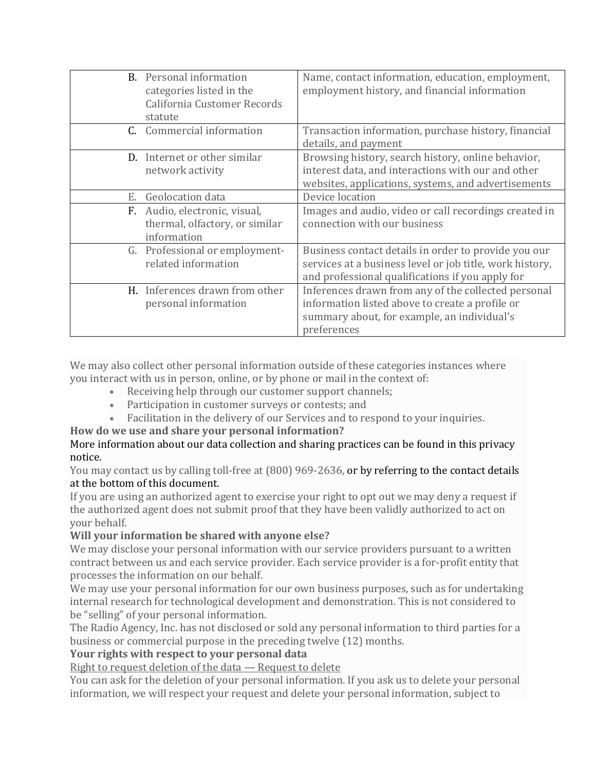|    | <b>B.</b> Personal information<br>categories listed in the<br>California Customer Records<br>statute | Name, contact information, education, employment,<br>employment history, and financial information                                                                   |
|----|------------------------------------------------------------------------------------------------------|----------------------------------------------------------------------------------------------------------------------------------------------------------------------|
|    | C. Commercial information                                                                            | Transaction information, purchase history, financial<br>details, and payment                                                                                         |
|    | D. Internet or other similar<br>network activity                                                     | Browsing history, search history, online behavior,<br>interest data, and interactions with our and other<br>websites, applications, systems, and advertisements      |
| Е. | Geolocation data                                                                                     | Device location                                                                                                                                                      |
|    | F. Audio, electronic, visual,<br>thermal, olfactory, or similar<br>information                       | Images and audio, video or call recordings created in<br>connection with our business                                                                                |
|    | G. Professional or employment-<br>related information                                                | Business contact details in order to provide you our<br>services at a business level or job title, work history,<br>and professional qualifications if you apply for |
|    | H. Inferences drawn from other<br>personal information                                               | Inferences drawn from any of the collected personal<br>information listed above to create a profile or<br>summary about, for example, an individual's<br>preferences |

We may also collect other personal information outside of these categories instances where you interact with us in person, online, or by phone or mail in the context of:

- Receiving help through our customer support channels;
- Participation in customer surveys or contests; and
- Facilitation in the delivery of our Services and to respond to your inquiries.

#### **How do we use and share your personal information?**

#### More information about our data collection and sharing practices can be found in this privacy notice.

You may contact us by calling toll-free at (800) 969-2636, or by referring to the contact details at the bottom of this document.

If you are using an authorized agent to exercise your right to opt out we may deny a request if the authorized agent does not submit proof that they have been validly authorized to act on your behalf.

#### **Will your information be shared with anyone else?**

We may disclose your personal information with our service providers pursuant to a written contract between us and each service provider. Each service provider is a for-profit entity that processes the information on our behalf.

We may use your personal information for our own business purposes, such as for undertaking internal research for technological development and demonstration. This is not considered to be "selling" of your personal information.

The Radio Agency, Inc. has not disclosed or sold any personal information to third parties for a business or commercial purpose in the preceding twelve (12) months.

#### **Your rights with respect to your personal data**

Right to request deletion of the data — Request to delete

You can ask for the deletion of your personal information. If you ask us to delete your personal information, we will respect your request and delete your personal information, subject to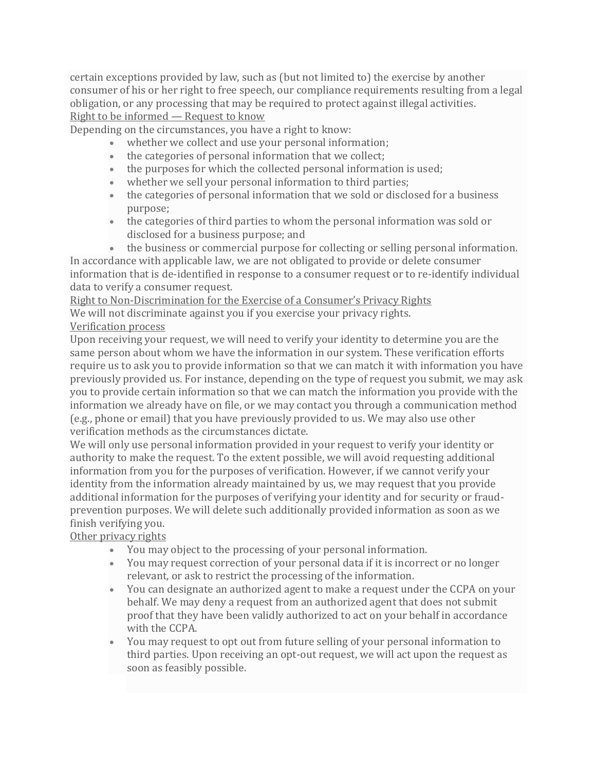certain exceptions provided by law, such as (but not limited to) the exercise by another consumer of his or her right to free speech, our compliance requirements resulting from a legal obligation, or any processing that may be required to protect against illegal activities. Right to be informed — Request to know

Depending on the circumstances, you have a right to know:

- whether we collect and use your personal information;
- the categories of personal information that we collect;
- the purposes for which the collected personal information is used;
- whether we sell your personal information to third parties;
- the categories of personal information that we sold or disclosed for a business purpose;
- the categories of third parties to whom the personal information was sold or disclosed for a business purpose; and
- the business or commercial purpose for collecting or selling personal information.

In accordance with applicable law, we are not obligated to provide or delete consumer information that is de-identified in response to a consumer request or to re-identify individual data to verify a consumer request.

Right to Non-Discrimination for the Exercise of a Consumer's Privacy Rights We will not discriminate against you if you exercise your privacy rights.

Verification process

Upon receiving your request, we will need to verify your identity to determine you are the same person about whom we have the information in our system. These verification efforts require us to ask you to provide information so that we can match it with information you have previously provided us. For instance, depending on the type of request you submit, we may ask you to provide certain information so that we can match the information you provide with the information we already have on file, or we may contact you through a communication method (e.g., phone or email) that you have previously provided to us. We may also use other verification methods as the circumstances dictate.

We will only use personal information provided in your request to verify your identity or authority to make the request. To the extent possible, we will avoid requesting additional information from you for the purposes of verification. However, if we cannot verify your identity from the information already maintained by us, we may request that you provide additional information for the purposes of verifying your identity and for security or fraudprevention purposes. We will delete such additionally provided information as soon as we finish verifying you.

Other privacy rights

- You may object to the processing of your personal information.
- You may request correction of your personal data if it is incorrect or no longer relevant, or ask to restrict the processing of the information.
- You can designate an authorized agent to make a request under the CCPA on your behalf. We may deny a request from an authorized agent that does not submit proof that they have been validly authorized to act on your behalf in accordance with the CCPA.
- You may request to opt out from future selling of your personal information to third parties. Upon receiving an opt-out request, we will act upon the request as soon as feasibly possible.